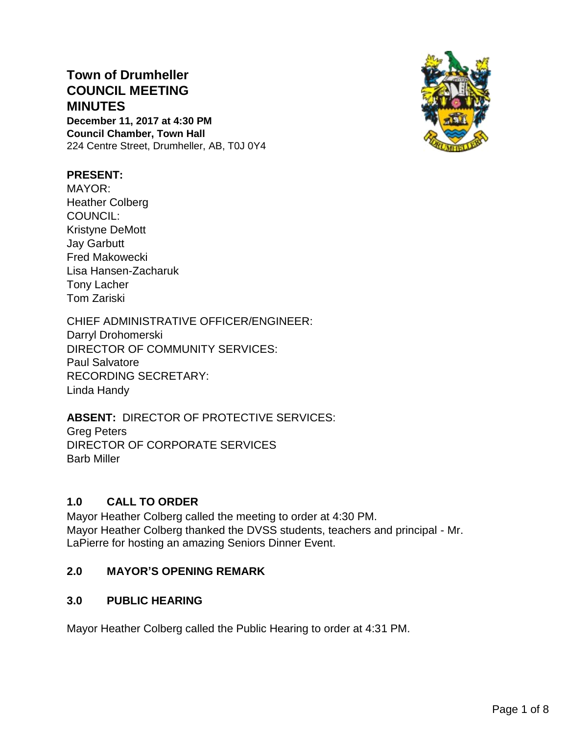# **Town of Drumheller COUNCIL MEETING MINUTES**

**December 11, 2017 at 4:30 PM Council Chamber, Town Hall** 224 Centre Street, Drumheller, AB, T0J 0Y4



## **PRESENT:**

MAYOR: Heather Colberg COUNCIL: Kristyne DeMott Jay Garbutt Fred Makowecki Lisa Hansen-Zacharuk Tony Lacher Tom Zariski

CHIEF ADMINISTRATIVE OFFICER/ENGINEER: Darryl Drohomerski DIRECTOR OF COMMUNITY SERVICES: Paul Salvatore RECORDING SECRETARY: Linda Handy

# **ABSENT:** DIRECTOR OF PROTECTIVE SERVICES:

Greg Peters DIRECTOR OF CORPORATE SERVICES Barb Miller

# **1.0 CALL TO ORDER**

Mayor Heather Colberg called the meeting to order at 4:30 PM. Mayor Heather Colberg thanked the DVSS students, teachers and principal - Mr. LaPierre for hosting an amazing Seniors Dinner Event.

# **2.0 MAYOR'S OPENING REMARK**

# **3.0 PUBLIC HEARING**

Mayor Heather Colberg called the Public Hearing to order at 4:31 PM.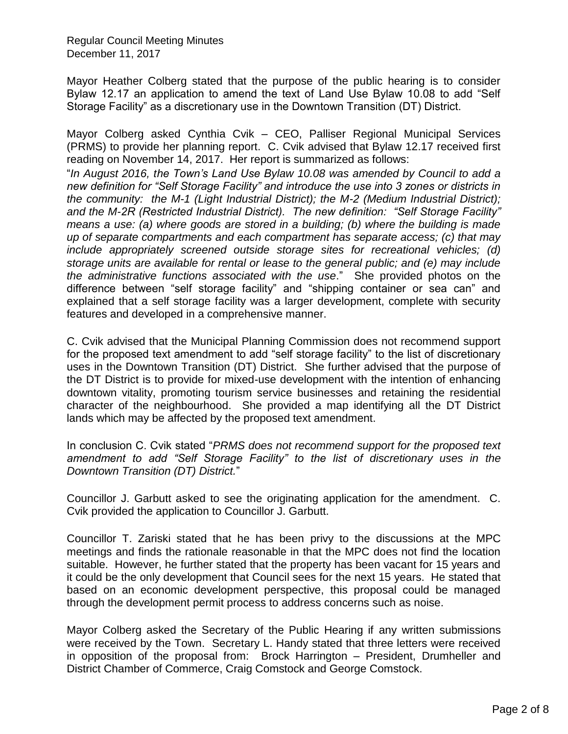Mayor Heather Colberg stated that the purpose of the public hearing is to consider Bylaw 12.17 an application to amend the text of Land Use Bylaw 10.08 to add "Self Storage Facility" as a discretionary use in the Downtown Transition (DT) District.

Mayor Colberg asked Cynthia Cvik – CEO, Palliser Regional Municipal Services (PRMS) to provide her planning report. C. Cvik advised that Bylaw 12.17 received first reading on November 14, 2017. Her report is summarized as follows:

"*In August 2016, the Town's Land Use Bylaw 10.08 was amended by Council to add a new definition for "Self Storage Facility" and introduce the use into 3 zones or districts in the community: the M-1 (Light Industrial District); the M-2 (Medium Industrial District); and the M-2R (Restricted Industrial District). The new definition: "Self Storage Facility" means a use: (a) where goods are stored in a building; (b) where the building is made up of separate compartments and each compartment has separate access; (c) that may include appropriately screened outside storage sites for recreational vehicles; (d) storage units are available for rental or lease to the general public; and (e) may include the administrative functions associated with the use*." She provided photos on the difference between "self storage facility" and "shipping container or sea can" and explained that a self storage facility was a larger development, complete with security features and developed in a comprehensive manner.

C. Cvik advised that the Municipal Planning Commission does not recommend support for the proposed text amendment to add "self storage facility" to the list of discretionary uses in the Downtown Transition (DT) District. She further advised that the purpose of the DT District is to provide for mixed-use development with the intention of enhancing downtown vitality, promoting tourism service businesses and retaining the residential character of the neighbourhood. She provided a map identifying all the DT District lands which may be affected by the proposed text amendment.

In conclusion C. Cvik stated "*PRMS does not recommend support for the proposed text amendment to add "Self Storage Facility" to the list of discretionary uses in the Downtown Transition (DT) District.*"

Councillor J. Garbutt asked to see the originating application for the amendment. C. Cvik provided the application to Councillor J. Garbutt.

Councillor T. Zariski stated that he has been privy to the discussions at the MPC meetings and finds the rationale reasonable in that the MPC does not find the location suitable. However, he further stated that the property has been vacant for 15 years and it could be the only development that Council sees for the next 15 years. He stated that based on an economic development perspective, this proposal could be managed through the development permit process to address concerns such as noise.

Mayor Colberg asked the Secretary of the Public Hearing if any written submissions were received by the Town. Secretary L. Handy stated that three letters were received in opposition of the proposal from: Brock Harrington – President, Drumheller and District Chamber of Commerce, Craig Comstock and George Comstock.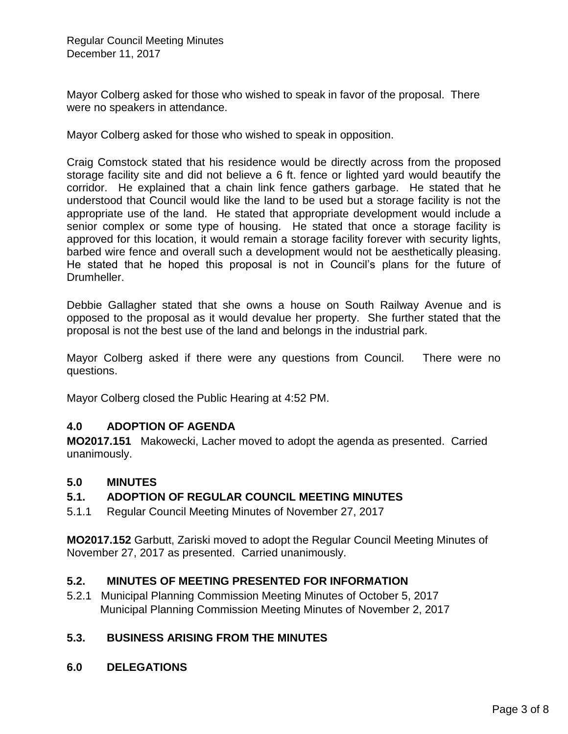Mayor Colberg asked for those who wished to speak in favor of the proposal. There were no speakers in attendance.

Mayor Colberg asked for those who wished to speak in opposition.

Craig Comstock stated that his residence would be directly across from the proposed storage facility site and did not believe a 6 ft. fence or lighted yard would beautify the corridor. He explained that a chain link fence gathers garbage. He stated that he understood that Council would like the land to be used but a storage facility is not the appropriate use of the land. He stated that appropriate development would include a senior complex or some type of housing. He stated that once a storage facility is approved for this location, it would remain a storage facility forever with security lights, barbed wire fence and overall such a development would not be aesthetically pleasing. He stated that he hoped this proposal is not in Council's plans for the future of Drumheller.

Debbie Gallagher stated that she owns a house on South Railway Avenue and is opposed to the proposal as it would devalue her property. She further stated that the proposal is not the best use of the land and belongs in the industrial park.

Mayor Colberg asked if there were any questions from Council. There were no questions.

Mayor Colberg closed the Public Hearing at 4:52 PM.

## **4.0 ADOPTION OF AGENDA**

**MO2017.151** Makowecki, Lacher moved to adopt the agenda as presented. Carried unanimously.

## **5.0 MINUTES**

## **5.1. ADOPTION OF REGULAR COUNCIL MEETING MINUTES**

5.1.1 Regular Council Meeting Minutes of November 27, 2017

**MO2017.152** Garbutt, Zariski moved to adopt the Regular Council Meeting Minutes of November 27, 2017 as presented. Carried unanimously.

## **5.2. MINUTES OF MEETING PRESENTED FOR INFORMATION**

5.2.1 Municipal Planning Commission Meeting Minutes of October 5, 2017 Municipal Planning Commission Meeting Minutes of November 2, 2017

# **5.3. BUSINESS ARISING FROM THE MINUTES**

**6.0 DELEGATIONS**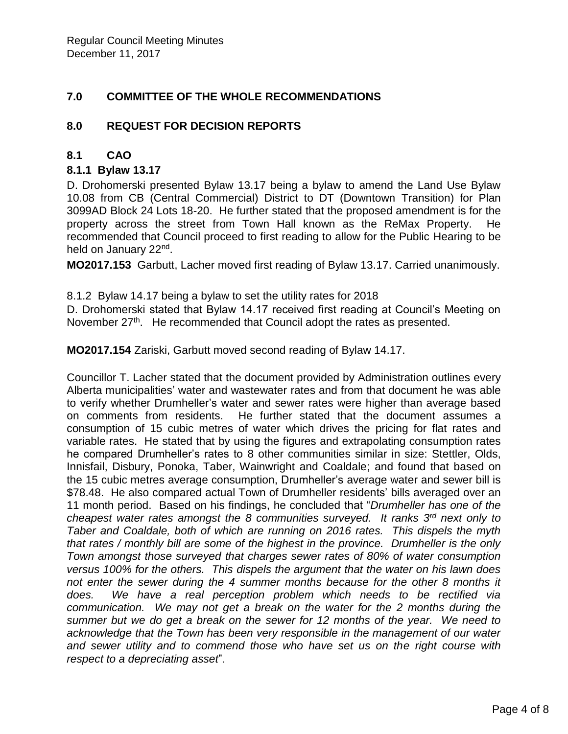# **7.0 COMMITTEE OF THE WHOLE RECOMMENDATIONS**

## **8.0 REQUEST FOR DECISION REPORTS**

## **8.1 CAO**

## **8.1.1 Bylaw 13.17**

D. Drohomerski presented Bylaw 13.17 being a bylaw to amend the Land Use Bylaw 10.08 from CB (Central Commercial) District to DT (Downtown Transition) for Plan 3099AD Block 24 Lots 18-20. He further stated that the proposed amendment is for the property across the street from Town Hall known as the ReMax Property. He recommended that Council proceed to first reading to allow for the Public Hearing to be held on January 22<sup>nd</sup>.

**MO2017.153** Garbutt, Lacher moved first reading of Bylaw 13.17. Carried unanimously.

8.1.2 Bylaw 14.17 being a bylaw to set the utility rates for 2018

D. Drohomerski stated that Bylaw 14.17 received first reading at Council's Meeting on November 27<sup>th</sup>. He recommended that Council adopt the rates as presented.

**MO2017.154** Zariski, Garbutt moved second reading of Bylaw 14.17.

Councillor T. Lacher stated that the document provided by Administration outlines every Alberta municipalities' water and wastewater rates and from that document he was able to verify whether Drumheller's water and sewer rates were higher than average based on comments from residents. He further stated that the document assumes a consumption of 15 cubic metres of water which drives the pricing for flat rates and variable rates. He stated that by using the figures and extrapolating consumption rates he compared Drumheller's rates to 8 other communities similar in size: Stettler, Olds, Innisfail, Disbury, Ponoka, Taber, Wainwright and Coaldale; and found that based on the 15 cubic metres average consumption, Drumheller's average water and sewer bill is \$78.48. He also compared actual Town of Drumheller residents' bills averaged over an 11 month period. Based on his findings, he concluded that "*Drumheller has one of the cheapest water rates amongst the 8 communities surveyed. It ranks 3rd next only to Taber and Coaldale, both of which are running on 2016 rates. This dispels the myth that rates / monthly bill are some of the highest in the province. Drumheller is the only Town amongst those surveyed that charges sewer rates of 80% of water consumption versus 100% for the others. This dispels the argument that the water on his lawn does not enter the sewer during the 4 summer months because for the other 8 months it does. We have a real perception problem which needs to be rectified via communication. We may not get a break on the water for the 2 months during the summer but we do get a break on the sewer for 12 months of the year. We need to acknowledge that the Town has been very responsible in the management of our water and sewer utility and to commend those who have set us on the right course with respect to a depreciating asset*".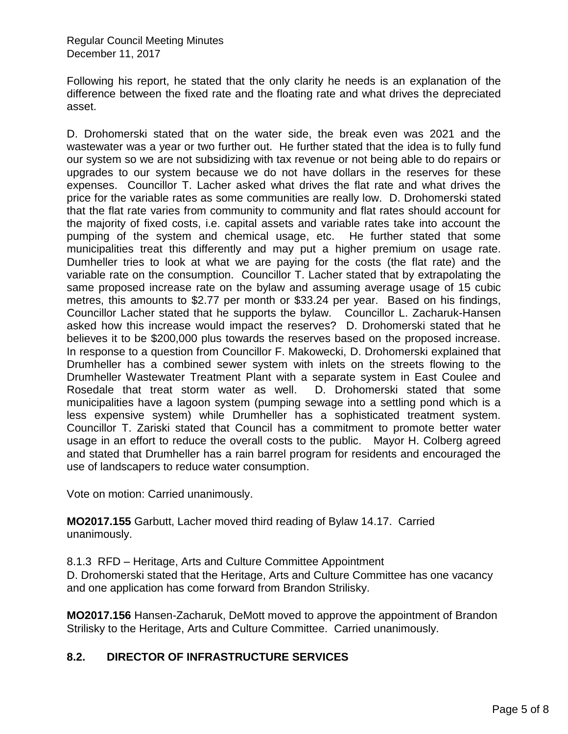Following his report, he stated that the only clarity he needs is an explanation of the difference between the fixed rate and the floating rate and what drives the depreciated asset.

D. Drohomerski stated that on the water side, the break even was 2021 and the wastewater was a year or two further out. He further stated that the idea is to fully fund our system so we are not subsidizing with tax revenue or not being able to do repairs or upgrades to our system because we do not have dollars in the reserves for these expenses. Councillor T. Lacher asked what drives the flat rate and what drives the price for the variable rates as some communities are really low. D. Drohomerski stated that the flat rate varies from community to community and flat rates should account for the majority of fixed costs, i.e. capital assets and variable rates take into account the pumping of the system and chemical usage, etc. He further stated that some municipalities treat this differently and may put a higher premium on usage rate. Dumheller tries to look at what we are paying for the costs (the flat rate) and the variable rate on the consumption. Councillor T. Lacher stated that by extrapolating the same proposed increase rate on the bylaw and assuming average usage of 15 cubic metres, this amounts to \$2.77 per month or \$33.24 per year. Based on his findings, Councillor Lacher stated that he supports the bylaw. Councillor L. Zacharuk-Hansen asked how this increase would impact the reserves? D. Drohomerski stated that he believes it to be \$200,000 plus towards the reserves based on the proposed increase. In response to a question from Councillor F. Makowecki, D. Drohomerski explained that Drumheller has a combined sewer system with inlets on the streets flowing to the Drumheller Wastewater Treatment Plant with a separate system in East Coulee and Rosedale that treat storm water as well. D. Drohomerski stated that some municipalities have a lagoon system (pumping sewage into a settling pond which is a less expensive system) while Drumheller has a sophisticated treatment system. Councillor T. Zariski stated that Council has a commitment to promote better water usage in an effort to reduce the overall costs to the public. Mayor H. Colberg agreed and stated that Drumheller has a rain barrel program for residents and encouraged the use of landscapers to reduce water consumption.

Vote on motion: Carried unanimously.

**MO2017.155** Garbutt, Lacher moved third reading of Bylaw 14.17. Carried unanimously.

8.1.3 RFD – Heritage, Arts and Culture Committee Appointment

D. Drohomerski stated that the Heritage, Arts and Culture Committee has one vacancy and one application has come forward from Brandon Strilisky.

**MO2017.156** Hansen-Zacharuk, DeMott moved to approve the appointment of Brandon Strilisky to the Heritage, Arts and Culture Committee. Carried unanimously.

# **8.2. DIRECTOR OF INFRASTRUCTURE SERVICES**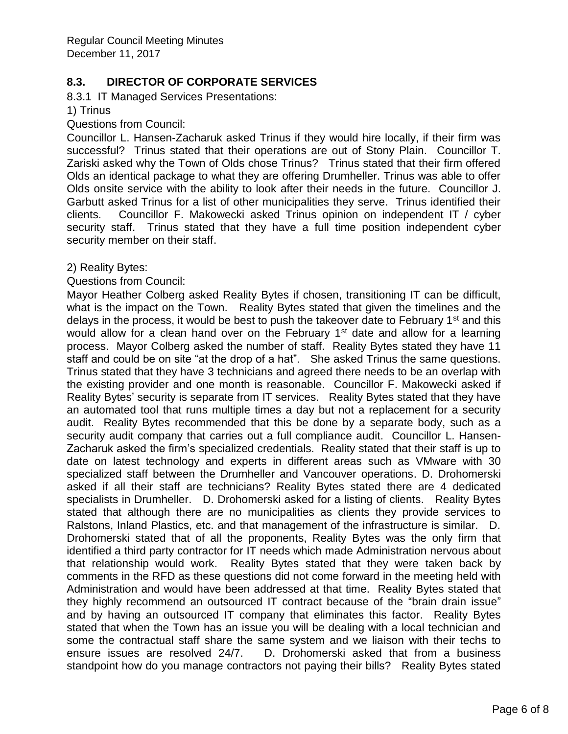## **8.3. DIRECTOR OF CORPORATE SERVICES**

8.3.1 IT Managed Services Presentations:

1) Trinus

Questions from Council:

Councillor L. Hansen-Zacharuk asked Trinus if they would hire locally, if their firm was successful? Trinus stated that their operations are out of Stony Plain. Councillor T. Zariski asked why the Town of Olds chose Trinus? Trinus stated that their firm offered Olds an identical package to what they are offering Drumheller. Trinus was able to offer Olds onsite service with the ability to look after their needs in the future. Councillor J. Garbutt asked Trinus for a list of other municipalities they serve. Trinus identified their clients. Councillor F. Makowecki asked Trinus opinion on independent IT / cyber security staff. Trinus stated that they have a full time position independent cyber security member on their staff.

2) Reality Bytes:

Questions from Council:

Mayor Heather Colberg asked Reality Bytes if chosen, transitioning IT can be difficult, what is the impact on the Town. Reality Bytes stated that given the timelines and the delays in the process, it would be best to push the takeover date to February  $1<sup>st</sup>$  and this would allow for a clean hand over on the February  $1<sup>st</sup>$  date and allow for a learning process. Mayor Colberg asked the number of staff. Reality Bytes stated they have 11 staff and could be on site "at the drop of a hat". She asked Trinus the same questions. Trinus stated that they have 3 technicians and agreed there needs to be an overlap with the existing provider and one month is reasonable. Councillor F. Makowecki asked if Reality Bytes' security is separate from IT services. Reality Bytes stated that they have an automated tool that runs multiple times a day but not a replacement for a security audit. Reality Bytes recommended that this be done by a separate body, such as a security audit company that carries out a full compliance audit. Councillor L. Hansen-Zacharuk asked the firm's specialized credentials. Reality stated that their staff is up to date on latest technology and experts in different areas such as VMware with 30 specialized staff between the Drumheller and Vancouver operations. D. Drohomerski asked if all their staff are technicians? Reality Bytes stated there are 4 dedicated specialists in Drumheller. D. Drohomerski asked for a listing of clients. Reality Bytes stated that although there are no municipalities as clients they provide services to Ralstons, Inland Plastics, etc. and that management of the infrastructure is similar. D. Drohomerski stated that of all the proponents, Reality Bytes was the only firm that identified a third party contractor for IT needs which made Administration nervous about that relationship would work. Reality Bytes stated that they were taken back by comments in the RFD as these questions did not come forward in the meeting held with Administration and would have been addressed at that time. Reality Bytes stated that they highly recommend an outsourced IT contract because of the "brain drain issue" and by having an outsourced IT company that eliminates this factor. Reality Bytes stated that when the Town has an issue you will be dealing with a local technician and some the contractual staff share the same system and we liaison with their techs to ensure issues are resolved 24/7. D. Drohomerski asked that from a business standpoint how do you manage contractors not paying their bills? Reality Bytes stated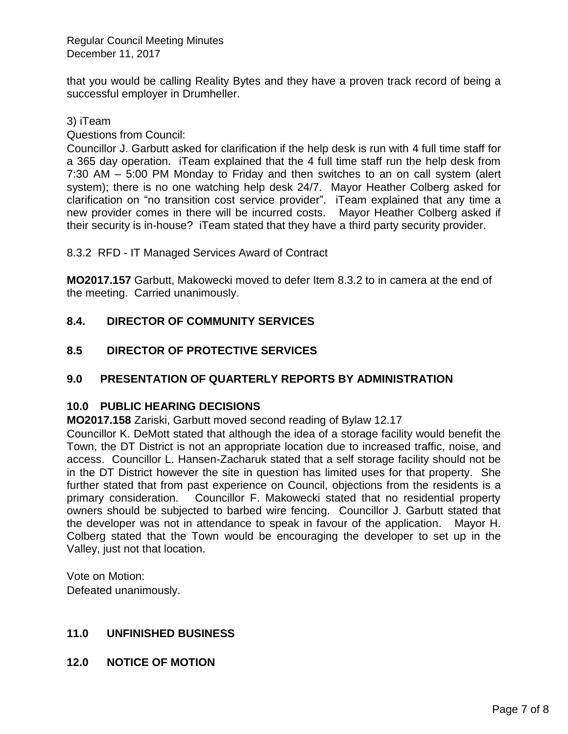that you would be calling Reality Bytes and they have a proven track record of being a successful employer in Drumheller.

## 3) iTeam

Questions from Council:

Councillor J. Garbutt asked for clarification if the help desk is run with 4 full time staff for a 365 day operation. iTeam explained that the 4 full time staff run the help desk from 7:30 AM – 5:00 PM Monday to Friday and then switches to an on call system (alert system); there is no one watching help desk 24/7. Mayor Heather Colberg asked for clarification on "no transition cost service provider". iTeam explained that any time a new provider comes in there will be incurred costs. Mayor Heather Colberg asked if their security is in-house? iTeam stated that they have a third party security provider.

8.3.2 RFD - IT Managed Services Award of Contract

**MO2017.157** Garbutt, Makowecki moved to defer Item 8.3.2 to in camera at the end of the meeting. Carried unanimously.

# **8.4. DIRECTOR OF COMMUNITY SERVICES**

# **8.5 DIRECTOR OF PROTECTIVE SERVICES**

# **9.0 PRESENTATION OF QUARTERLY REPORTS BY ADMINISTRATION**

## **10.0 PUBLIC HEARING DECISIONS**

**MO2017.158** Zariski, Garbutt moved second reading of Bylaw 12.17

Councillor K. DeMott stated that although the idea of a storage facility would benefit the Town, the DT District is not an appropriate location due to increased traffic, noise, and access. Councillor L. Hansen-Zacharuk stated that a self storage facility should not be in the DT District however the site in question has limited uses for that property. She further stated that from past experience on Council, objections from the residents is a primary consideration. Councillor F. Makowecki stated that no residential property owners should be subjected to barbed wire fencing. Councillor J. Garbutt stated that the developer was not in attendance to speak in favour of the application. Mayor H. Colberg stated that the Town would be encouraging the developer to set up in the Valley, just not that location.

Vote on Motion: Defeated unanimously.

# **11.0 UNFINISHED BUSINESS**

**12.0 NOTICE OF MOTION**